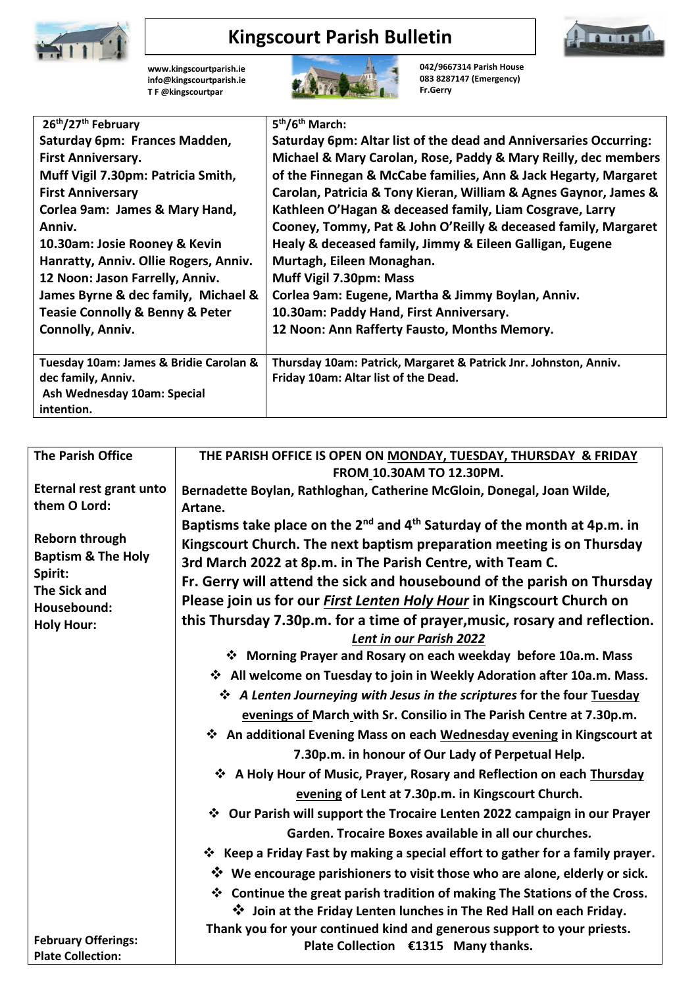

## **Kingscourt Parish Bulletin**



**[www.kingscourtparish.ie](http://www.kingscourtparish.ie/) info@kingscourtparish.ie T F @kingscourtpar** 



**042/9667314 Parish House 083 8287147 (Emergency) Fr.Gerry**

| 26 <sup>th</sup> /27 <sup>th</sup> February    | 5 <sup>th</sup> /6 <sup>th</sup> March:                           |
|------------------------------------------------|-------------------------------------------------------------------|
| Saturday 6pm: Frances Madden,                  | Saturday 6pm: Altar list of the dead and Anniversaries Occurring: |
| <b>First Anniversary.</b>                      | Michael & Mary Carolan, Rose, Paddy & Mary Reilly, dec members    |
| Muff Vigil 7.30pm: Patricia Smith,             | of the Finnegan & McCabe families, Ann & Jack Hegarty, Margaret   |
| <b>First Anniversary</b>                       | Carolan, Patricia & Tony Kieran, William & Agnes Gaynor, James &  |
| Corlea 9am: James & Mary Hand,                 | Kathleen O'Hagan & deceased family, Liam Cosgrave, Larry          |
| Anniv.                                         | Cooney, Tommy, Pat & John O'Reilly & deceased family, Margaret    |
| 10.30am: Josie Rooney & Kevin                  | Healy & deceased family, Jimmy & Eileen Galligan, Eugene          |
| Hanratty, Anniv. Ollie Rogers, Anniv.          | Murtagh, Eileen Monaghan.                                         |
| 12 Noon: Jason Farrelly, Anniv.                | Muff Vigil 7.30pm: Mass                                           |
| James Byrne & dec family, Michael &            | Corlea 9am: Eugene, Martha & Jimmy Boylan, Anniv.                 |
| <b>Teasie Connolly &amp; Benny &amp; Peter</b> | 10.30am: Paddy Hand, First Anniversary.                           |
| Connolly, Anniv.                               | 12 Noon: Ann Rafferty Fausto, Months Memory.                      |
|                                                |                                                                   |
| Tuesday 10am: James & Bridie Carolan &         | Thursday 10am: Patrick, Margaret & Patrick Jnr. Johnston, Anniv.  |
| dec family, Anniv.                             | Friday 10am: Altar list of the Dead.                              |
| Ash Wednesday 10am: Special                    |                                                                   |
| intention.                                     |                                                                   |

| <b>The Parish Office</b>       | THE PARISH OFFICE IS OPEN ON MONDAY, TUESDAY, THURSDAY & FRIDAY                                  |
|--------------------------------|--------------------------------------------------------------------------------------------------|
|                                | FROM 10.30AM TO 12.30PM.                                                                         |
| Eternal rest grant unto        | Bernadette Boylan, Rathloghan, Catherine McGloin, Donegal, Joan Wilde,                           |
| them O Lord:                   | Artane.                                                                                          |
|                                | Baptisms take place on the 2 <sup>nd</sup> and 4 <sup>th</sup> Saturday of the month at 4p.m. in |
| <b>Reborn through</b>          | Kingscourt Church. The next baptism preparation meeting is on Thursday                           |
| <b>Baptism &amp; The Holy</b>  | 3rd March 2022 at 8p.m. in The Parish Centre, with Team C.                                       |
| Spirit:<br><b>The Sick and</b> | Fr. Gerry will attend the sick and housebound of the parish on Thursday                          |
| Housebound:                    | Please join us for our <i>First Lenten Holy Hour</i> in Kingscourt Church on                     |
| <b>Holy Hour:</b>              | this Thursday 7.30p.m. for a time of prayer, music, rosary and reflection.                       |
|                                | Lent in our Parish 2022                                                                          |
|                                | Morning Prayer and Rosary on each weekday before 10a.m. Mass                                     |
|                                | ❖ All welcome on Tuesday to join in Weekly Adoration after 10a.m. Mass.                          |
|                                | ❖ A Lenten Journeying with Jesus in the scriptures for the four Tuesday                          |
|                                | evenings of March with Sr. Consilio in The Parish Centre at 7.30p.m.                             |
|                                | ❖ An additional Evening Mass on each Wednesday evening in Kingscourt at                          |
|                                | 7.30p.m. in honour of Our Lady of Perpetual Help.                                                |
|                                | ❖ A Holy Hour of Music, Prayer, Rosary and Reflection on each Thursday                           |
|                                | evening of Lent at 7.30p.m. in Kingscourt Church.                                                |
|                                | ❖ Our Parish will support the Trocaire Lenten 2022 campaign in our Prayer                        |
|                                | Garden. Trocaire Boxes available in all our churches.                                            |
|                                | <b>*</b> Keep a Friday Fast by making a special effort to gather for a family prayer.            |
|                                | Ve encourage parishioners to visit those who are alone, elderly or sick.                         |
|                                | ❖ Continue the great parish tradition of making The Stations of the Cross.                       |
|                                | V Join at the Friday Lenten lunches in The Red Hall on each Friday.                              |
|                                | Thank you for your continued kind and generous support to your priests.                          |
| <b>February Offerings:</b>     | Plate Collection €1315 Many thanks.                                                              |
| <b>Plate Collection:</b>       |                                                                                                  |